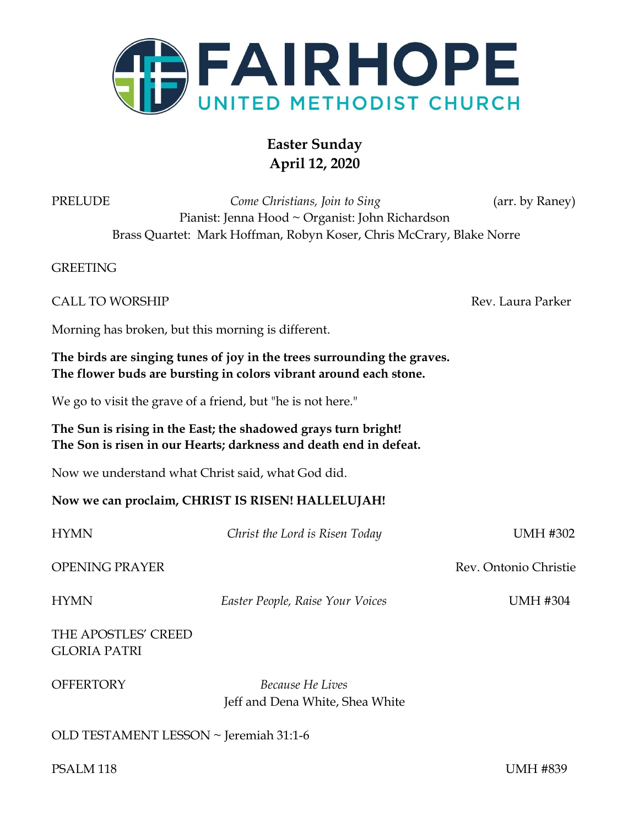

# **Easter Sunday April 12, 2020**

PRELUDE *Come Christians, Join to Sing* (arr. by Raney) Pianist: Jenna Hood ~ Organist: John Richardson Brass Quartet: Mark Hoffman, Robyn Koser, Chris McCrary, Blake Norre

**GREETING** 

Rev. Laura Parker.

Morning has broken, but this morning is different.

**The birds are singing tunes of joy in the trees surrounding the graves. The flower buds are bursting in colors vibrant around each stone.** 

We go to visit the grave of a friend, but "he is not here."

**The Sun is rising in the East; the shadowed grays turn bright! The Son is risen in our Hearts; darkness and death end in defeat.** 

Now we understand what Christ said, what God did.

#### **Now we can proclaim, CHRIST IS RISEN! HALLELUJAH!**

| <b>HYMN</b>                                | Christ the Lord is Risen Today                      | <b>UMH #302</b>       |
|--------------------------------------------|-----------------------------------------------------|-----------------------|
| <b>OPENING PRAYER</b>                      |                                                     | Rev. Ontonio Christie |
| <b>HYMN</b>                                | Easter People, Raise Your Voices                    | <b>UMH #304</b>       |
| THE APOSTLES' CREED<br><b>GLORIA PATRI</b> |                                                     |                       |
| <b>OFFERTORY</b>                           | Because He Lives<br>Jeff and Dena White, Shea White |                       |

OLD TESTAMENT LESSON ~ Jeremiah 31:1-6

PSALM 118 UMH #839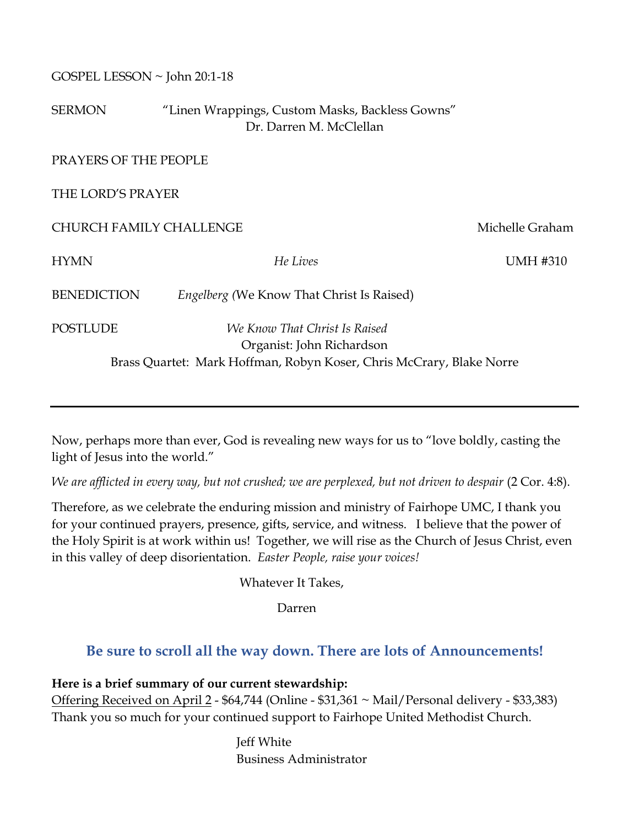| GOSPEL LESSON ~ John 20:1-18 |  |
|------------------------------|--|
|------------------------------|--|

SERMON "Linen Wrappings, Custom Masks, Backless Gowns" Dr. Darren M. McClellan

PRAYERS OF THE PEOPLE

THE LORD'S PRAYER

CHURCH FAMILY CHALLENGE THE SERVICE OF THE Michelle Graham

HYMN *He Lives* UMH #310

BENEDICTION *Engelberg (*We Know That Christ Is Raised)

POSTLUDE *We Know That Christ Is Raised*  Organist: John Richardson Brass Quartet: Mark Hoffman, Robyn Koser, Chris McCrary, Blake Norre

Now, perhaps more than ever, God is revealing new ways for us to "love boldly, casting the light of Jesus into the world."

*We are afflicted in every way, but not crushed; we are perplexed, but not driven to despair* (2 Cor. 4:8).

Therefore, as we celebrate the enduring mission and ministry of Fairhope UMC, I thank you for your continued prayers, presence, gifts, service, and witness. I believe that the power of the Holy Spirit is at work within us! Together, we will rise as the Church of Jesus Christ, even in this valley of deep disorientation. *Easter People, raise your voices!*

Whatever It Takes,

Darren

# **Be sure to scroll all the way down. There are lots of Announcements!**

# **Here is a brief summary of our current stewardship:**

Offering Received on April 2 - \$64,744 (Online - \$31,361 ~ Mail/Personal delivery - \$33,383) Thank you so much for your continued support to Fairhope United Methodist Church.

> Jeff White Business Administrator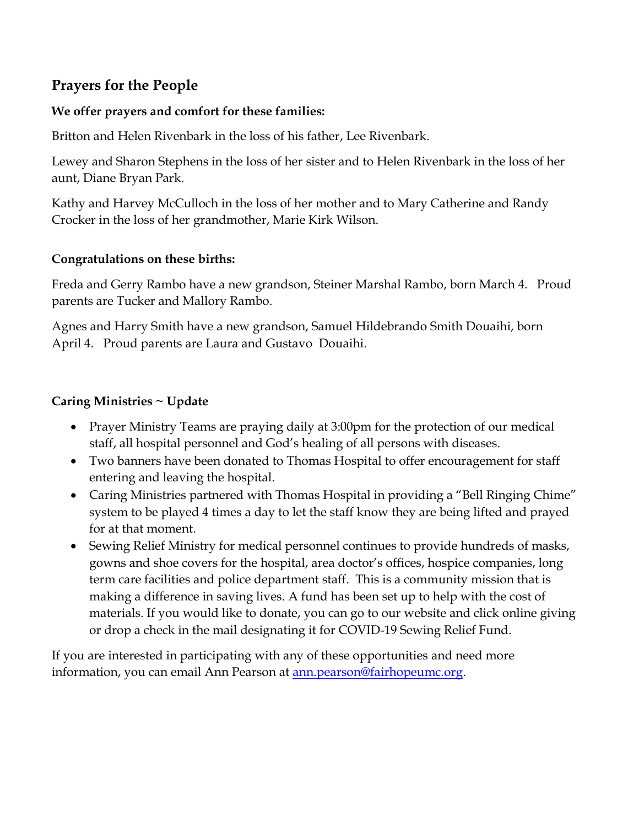# **Prayers for the People**

### **We offer prayers and comfort for these families:**

Britton and Helen Rivenbark in the loss of his father, Lee Rivenbark.

Lewey and Sharon Stephens in the loss of her sister and to Helen Rivenbark in the loss of her aunt, Diane Bryan Park.

Kathy and Harvey McCulloch in the loss of her mother and to Mary Catherine and Randy Crocker in the loss of her grandmother, Marie Kirk Wilson.

#### **Congratulations on these births:**

Freda and Gerry Rambo have a new grandson, Steiner Marshal Rambo, born March 4. Proud parents are Tucker and Mallory Rambo.

Agnes and Harry Smith have a new grandson, Samuel Hildebrando Smith Douaihi, born April 4. Proud parents are Laura and Gustavo Douaihi.

# **Caring Ministries ~ Update**

- Prayer Ministry Teams are praying daily at 3:00pm for the protection of our medical staff, all hospital personnel and God's healing of all persons with diseases.
- Two banners have been donated to Thomas Hospital to offer encouragement for staff entering and leaving the hospital.
- Caring Ministries partnered with Thomas Hospital in providing a "Bell Ringing Chime" system to be played 4 times a day to let the staff know they are being lifted and prayed for at that moment.
- Sewing Relief Ministry for medical personnel continues to provide hundreds of masks, gowns and shoe covers for the hospital, area doctor's offices, hospice companies, long term care facilities and police department staff. This is a community mission that is making a difference in saving lives. A fund has been set up to help with the cost of materials. If you would like to donate, you can go to our website and click online giving or drop a check in the mail designating it for COVID-19 Sewing Relief Fund.

If you are interested in participating with any of these opportunities and need more information, you can email Ann Pearson at **ann**.pearson@fairhopeumc.org.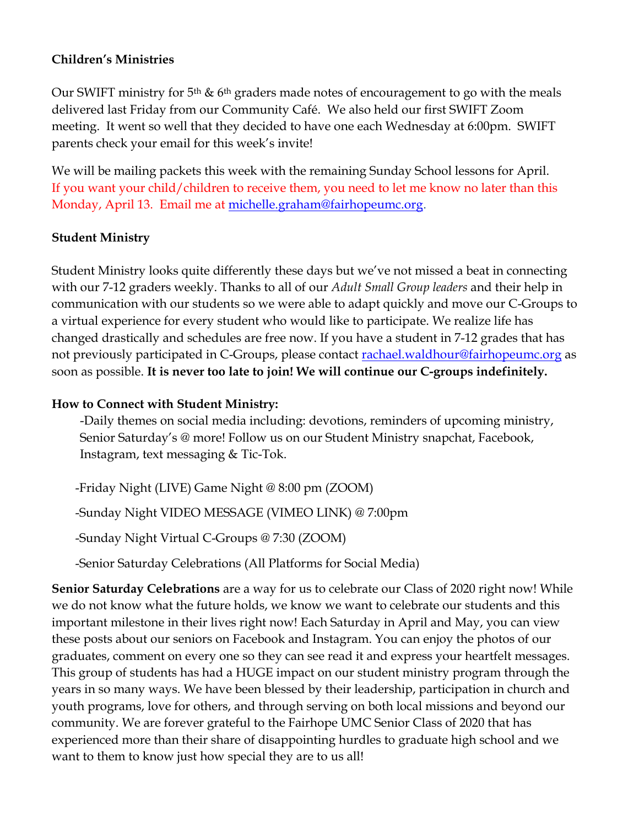#### **Children's Ministries**

Our SWIFT ministry for 5<sup>th</sup> & 6<sup>th</sup> graders made notes of encouragement to go with the meals delivered last Friday from our Community Café. We also held our first SWIFT Zoom meeting. It went so well that they decided to have one each Wednesday at 6:00pm. SWIFT parents check your email for this week's invite!

We will be mailing packets this week with the remaining Sunday School lessons for April. If you want your child/children to receive them, you need to let me know no later than this Monday, April 13. Email me at [michelle.graham@fairhopeumc.org.](mailto:michelle.graham@fairhopeumc.org)

#### **Student Ministry**

Student Ministry looks quite differently these days but we've not missed a beat in connecting with our 7-12 graders weekly. Thanks to all of our *Adult Small Group leaders* and their help in communication with our students so we were able to adapt quickly and move our C-Groups to a virtual experience for every student who would like to participate. We realize life has changed drastically and schedules are free now. If you have a student in 7-12 grades that has not previously participated in C-Groups, please contact **rachael**.waldhour@fairhopeumc.org as soon as possible. **It is never too late to join! We will continue our C-groups indefinitely.**

#### **How to Connect with Student Ministry:**

-Daily themes on social media including: devotions, reminders of upcoming ministry, Senior Saturday's @ more! Follow us on our Student Ministry snapchat, Facebook, Instagram, text messaging & Tic-Tok.

-Friday Night (LIVE) Game Night @ 8:00 pm (ZOOM) -Sunday Night VIDEO MESSAGE (VIMEO LINK) @ 7:00pm -Sunday Night Virtual C-Groups @ 7:30 (ZOOM)

-Senior Saturday Celebrations (All Platforms for Social Media)

**Senior Saturday Celebrations** are a way for us to celebrate our Class of 2020 right now! While we do not know what the future holds, we know we want to celebrate our students and this important milestone in their lives right now! Each Saturday in April and May, you can view these posts about our seniors on Facebook and Instagram. You can enjoy the photos of our graduates, comment on every one so they can see read it and express your heartfelt messages. This group of students has had a HUGE impact on our student ministry program through the years in so many ways. We have been blessed by their leadership, participation in church and youth programs, love for others, and through serving on both local missions and beyond our community. We are forever grateful to the Fairhope UMC Senior Class of 2020 that has experienced more than their share of disappointing hurdles to graduate high school and we want to them to know just how special they are to us all!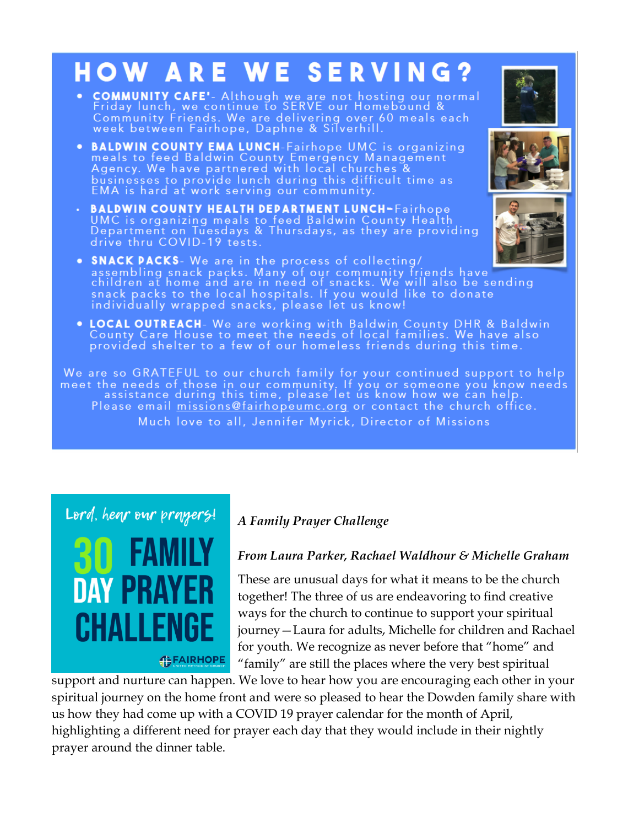# **HOW ARE WE SERVING?**

- **COMMUNITY CAFE'** Although we are not hosting our normal<br>Friday lunch, we continue to SERVE our Homebound &<br>Community Friends. We are delivering over 60 meals each<br>week between Fairhope, Daphne & Silverhill.
- BALDWIN COUNTY EMA LUNCH-Fairhope UMC is organizing<br>meals to feed Baldwin County Emergency Management<br>Agency. We have partnered with local churches &<br>businesses to provide lunch during this difficult time as<br>EMA is hard
- **BALDWIN COUNTY HEALTH DEPARTMENT LUNCH-**Fairhope<br>UMC is organizing meals to feed Baldwin County Health<br>Department on Tuesdays & Thursdays, as they are providing<br>drive thru COVID-19 tests.
- SNACK PACKS- We are in the process of collecting/<br>assembling snack packs. Many of our community friends have<br>children at home and are in need of snacks. We will also be sending<br>snack packs to the local hospitals. If you
- LOCAL OUTREACH- We are working with Baldwin County DHR & Baldwin<br>County Care House to meet the needs of local families. We have also<br>provided shelter to a few of our homeless friends during this time.

We are so GRATEFUL to our church family for your continued support to help meet the needs of those in our community. If you or someone you know needs<br>assistance during this time, please let us know how we can help. Please email missions@fairhopeumc.org or contact the church office. Much love to all, Jennifer Myrick, Director of Missions



# *A Family Prayer Challenge*

#### *From Laura Parker, Rachael Waldhour & Michelle Graham*

These are unusual days for what it means to be the church together! The three of us are endeavoring to find creative ways for the church to continue to support your spiritual journey—Laura for adults, Michelle for children and Rachael for youth. We recognize as never before that "home" and "family" are still the places where the very best spiritual

support and nurture can happen. We love to hear how you are encouraging each other in your spiritual journey on the home front and were so pleased to hear the Dowden family share with us how they had come up with a COVID 19 prayer calendar for the month of April, highlighting a different need for prayer each day that they would include in their nightly prayer around the dinner table.





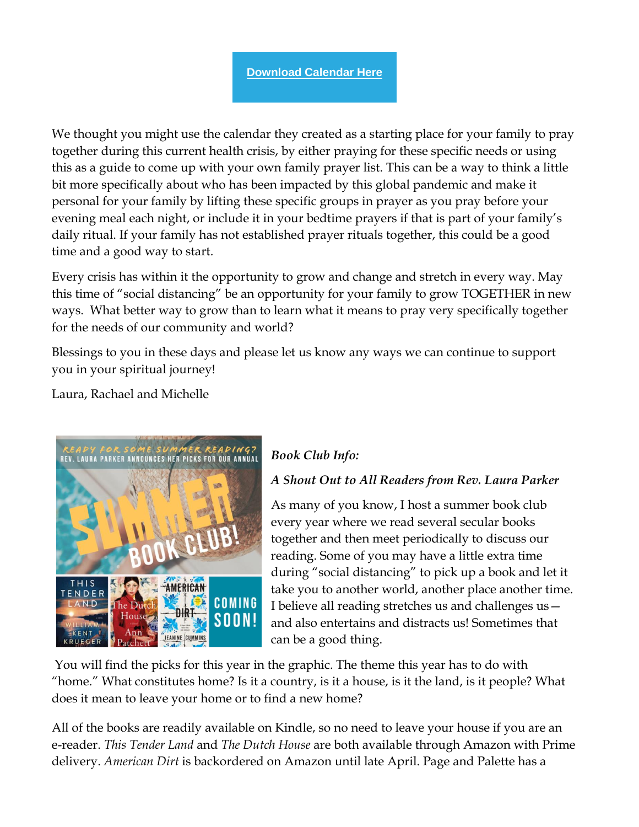We thought you might use the calendar they created as a starting place for your family to pray together during this current health crisis, by either praying for these specific needs or using this as a guide to come up with your own family prayer list. This can be a way to think a little bit more specifically about who has been impacted by this global pandemic and make it personal for your family by lifting these specific groups in prayer as you pray before your evening meal each night, or include it in your bedtime prayers if that is part of your family's daily ritual. If your family has not established prayer rituals together, this could be a good time and a good way to start.

Every crisis has within it the opportunity to grow and change and stretch in every way. May this time of "social distancing" be an opportunity for your family to grow TOGETHER in new ways. What better way to grow than to learn what it means to pray very specifically together for the needs of our community and world?

Blessings to you in these days and please let us know any ways we can continue to support you in your spiritual journey!

Laura, Rachael and Michelle



# *Book Club Info:*

# *A Shout Out to All Readers from Rev. Laura Parker*

As many of you know, I host a summer book club every year where we read several secular books together and then meet periodically to discuss our reading. Some of you may have a little extra time during "social distancing" to pick up a book and let it take you to another world, another place another time. I believe all reading stretches us and challenges us and also entertains and distracts us! Sometimes that can be a good thing.

You will find the picks for this year in the graphic. The theme this year has to do with "home." What constitutes home? Is it a country, is it a house, is it the land, is it people? What does it mean to leave your home or to find a new home?

All of the books are readily available on Kindle, so no need to leave your house if you are an e-reader. *This Tender Land* and *The Dutch House* are both available through Amazon with Prime delivery. *American Dirt* is backordered on Amazon until late April. Page and Palette has a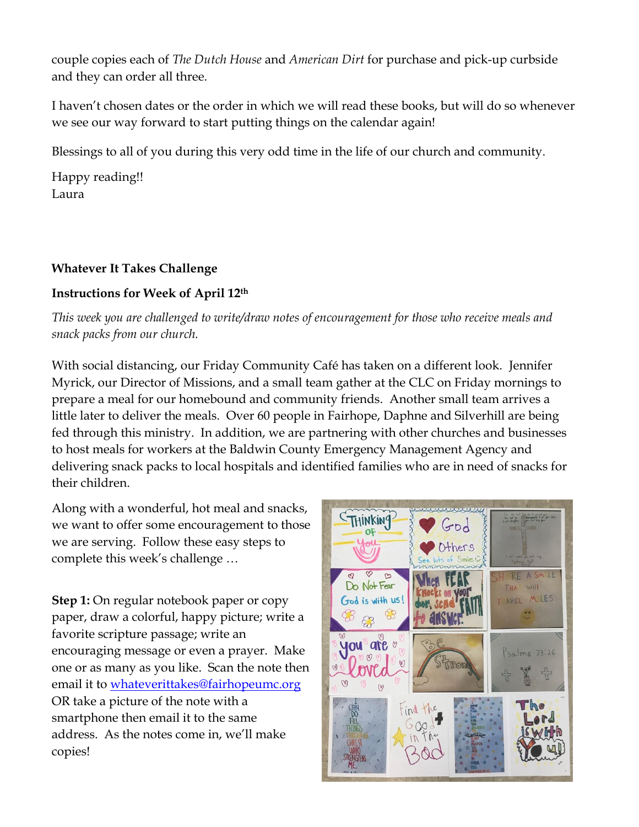couple copies each of *The Dutch House* and *American Dirt* for purchase and pick-up curbside and they can order all three.

I haven't chosen dates or the order in which we will read these books, but will do so whenever we see our way forward to start putting things on the calendar again!

Blessings to all of you during this very odd time in the life of our church and community.

Happy reading!! Laura

#### **Whatever It Takes Challenge**

# **Instructions for Week of April 12th**

*This week you are challenged to write/draw notes of encouragement for those who receive meals and snack packs from our church.* 

With social distancing, our Friday Community Café has taken on a different look. Jennifer Myrick, our Director of Missions, and a small team gather at the CLC on Friday mornings to prepare a meal for our homebound and community friends. Another small team arrives a little later to deliver the meals. Over 60 people in Fairhope, Daphne and Silverhill are being fed through this ministry. In addition, we are partnering with other churches and businesses to host meals for workers at the Baldwin County Emergency Management Agency and delivering snack packs to local hospitals and identified families who are in need of snacks for their children.

Along with a wonderful, hot meal and snacks, we want to offer some encouragement to those we are serving. Follow these easy steps to complete this week's challenge …

**Step 1:** On regular notebook paper or copy paper, draw a colorful, happy picture; write a favorite scripture passage; write an encouraging message or even a prayer. Make one or as many as you like. Scan the note then email it to [whateverittakes@fairhopeumc.org](mailto:whateverittakes@fairhopeumc.org) OR take a picture of the note with a smartphone then email it to the same address. As the notes come in, we'll make copies!